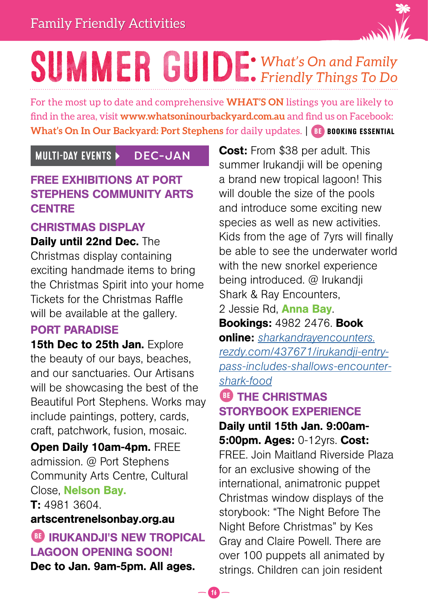

### *What's On and Family Friendly Things To Do* SUMMER GUIDE:

For the most up to date and comprehensive **WHAT'S ON** listings you are likely to find in the area, visit **www.whatsoninourbackyard.com.au** and find us on Facebook: **What's On In Our Backyard: Port Stephens** for daily updates. | BE BOOKING ESSENTIAL

### FREE EXHIBITIONS AT PORT STEPHENS COMMUNITY ARTS **CENTRE**

### CHRISTMAS DISPLAY

Daily until 22nd Dec. The Christmas display containing exciting handmade items to bring the Christmas Spirit into your home Tickets for the Christmas Raffle will be available at the gallery.

#### PORT PARADISE

15th Dec to 25th Jan. Explore the beauty of our bays, beaches, and our sanctuaries. Our Artisans will be showcasing the best of the Beautiful Port Stephens. Works may include paintings, pottery, cards, craft, patchwork, fusion, mosaic.

Open Daily 10am-4pm. FREE admission. @ Port Stephens Community Arts Centre, Cultural Close, Nelson Bay.

T: 4981 3604.

#### artscentrenelsonbay.org.au

### **BE IRUKANDJI'S NEW TROPICAL** LAGOON OPENING SOON! Dec to Jan. 9am-5pm. All ages.

MULTI-DAY EVENTS DEC-JAN Cost: From \$38 per adult. This summer Irukandji will be opening a brand new tropical lagoon! This will double the size of the pools and introduce some exciting new species as well as new activities. Kids from the age of 7yrs will finally be able to see the underwater world with the new snorkel experience being introduced. @ Irukandji Shark & Ray Encounters,

2 Jessie Rd, **Anna Bay**.

Bookings: 4982 2476. Book online: *[sharkandrayencounters.](https://sharkandrayencounters.rezdy.com/437671/irukandji-entry-pass-includes-shallows-encounter-shark-food) [rezdy.com/437671/irukandji-entry](https://sharkandrayencounters.rezdy.com/437671/irukandji-entry-pass-includes-shallows-encounter-shark-food)[pass-includes-shallows-encounter](https://sharkandrayencounters.rezdy.com/437671/irukandji-entry-pass-includes-shallows-encounter-shark-food)[shark-food](https://sharkandrayencounters.rezdy.com/437671/irukandji-entry-pass-includes-shallows-encounter-shark-food)*

### **BE THE CHRISTMAS** STORYBOOK EXPERIENCE

Daily until 15th Jan. 9:00am-5:00pm. Ages: 0-12yrs. Cost:

FREE. Join Maitland Riverside Plaza for an exclusive showing of the international, animatronic puppet Christmas window displays of the storybook: "The Night Before The Night Before Christmas" by Kes Gray and Claire Powell. There are over 100 puppets all animated by strings. Children can join resident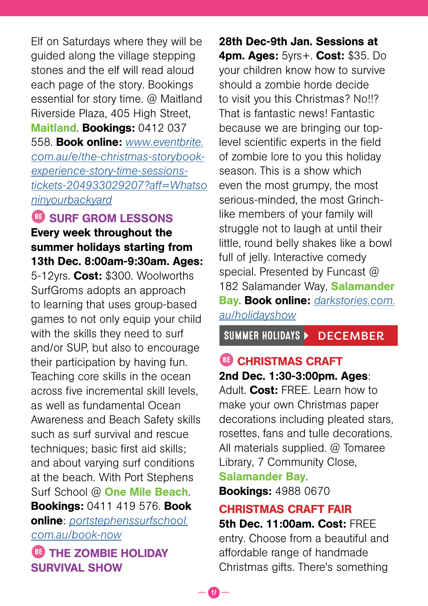Elf on Saturdays where they will be guided along the village stepping stones and the elf will read aloud each page of the story. Bookings essential for story time. @ Maitland Riverside Plaza, 405 High Street, Maitland. Bookings: 0412 037 558. Book online: *[www.eventbrite.](https://www.eventbrite.com.au/e/the-christmas-storybook-experience-story-time-sessions-tickets-204933029207?aff=Whatsoninyourbackyard) [com.au/e/the-christmas-storybook](https://www.eventbrite.com.au/e/the-christmas-storybook-experience-story-time-sessions-tickets-204933029207?aff=Whatsoninyourbackyard)[experience-story-time-sessions](https://www.eventbrite.com.au/e/the-christmas-storybook-experience-story-time-sessions-tickets-204933029207?aff=Whatsoninyourbackyard)[tickets-204933029207?aff=Whatso](https://www.eventbrite.com.au/e/the-christmas-storybook-experience-story-time-sessions-tickets-204933029207?aff=Whatsoninyourbackyard) [ninyourbackyard](https://www.eventbrite.com.au/e/the-christmas-storybook-experience-story-time-sessions-tickets-204933029207?aff=Whatsoninyourbackyard)*

BE SURF GROM LESSONS

Every week throughout the summer holidays starting from 13th Dec. 8:00am-9:30am. Ages:

5-12yrs. Cost: \$300. Woolworths SurfGroms adopts an approach to learning that uses group-based games to not only equip your child with the skills they need to surf and/or SUP, but also to encourage their participation by having fun. Teaching core skills in the ocean across five incremental skill levels, as well as fundamental Ocean Awareness and Beach Safety skills such as surf survival and rescue techniques; basic first aid skills; and about varying surf conditions at the beach. With Port Stephens Surf School @ One Mile Beach. Bookings: 0411 419 576. Book online: *[portstephenssurfschool.](http://portstephenssurfschool.com.au/book-now/) [com.au/book-now](http://portstephenssurfschool.com.au/book-now/)*

**BE THE ZOMBIE HOLIDAY** SURVIVAL SHOW

28th Dec-9th Jan. Sessions at 4pm. Ages: 5yrs+. Cost: \$35. Do your children know how to survive should a zombie horde decide to visit you this Christmas? No!!? That is fantastic news! Fantastic because we are bringing our toplevel scientific experts in the field of zombie lore to you this holiday season. This is a show which even the most grumpy, the most serious-minded, the most Grinchlike members of your family will struggle not to laugh at until their little, round belly shakes like a bowl full of jelly. Interactive comedy special. Presented by Funcast @ 182 Salamander Way, Salamander Bay. Book online: *[darkstories.com.](https://darkstories.com.au/holidayshow/) [au/holidayshow](https://darkstories.com.au/holidayshow/)*

SUMMER HOLIDAYS DECEMBER

### BE CHRISTMAS CRAFT 2nd Dec. 1:30-3:00pm. Ages:

Adult. Cost: FREE. Learn how to make your own Christmas paper decorations including pleated stars, rosettes, fans and tulle decorations. All materials supplied. @ Tomaree Library, 7 Community Close,

Salamander Bay.

 $\bm{v}$   $-$ 

Bookings: 4988 0670

#### CHRISTMAS CRAFT FAIR

5th Dec. 11:00am. Cost: FREE entry. Choose from a beautiful and affordable range of handmade Christmas gifts. There's something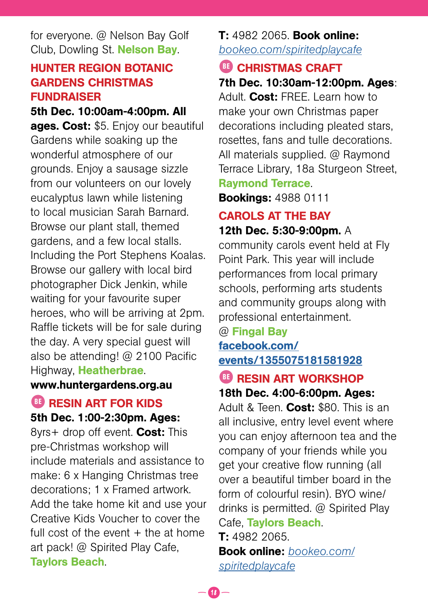for everyone. @ Nelson Bay Golf Club, Dowling St. Nelson Bay.

### HUNTER REGION BOTANIC GARDENS CHRISTMAS FUNDRAISER

#### 5th Dec. 10:00am-4:00pm. All

ages. Cost: \$5. Enjoy our beautiful Gardens while soaking up the wonderful atmosphere of our grounds. Enjoy a sausage sizzle from our volunteers on our lovely eucalyptus lawn while listening to local musician Sarah Barnard. Browse our plant stall, themed gardens, and a few local stalls. Including the Port Stephens Koalas. Browse our gallery with local bird photographer Dick Jenkin, while waiting for your favourite super heroes, who will be arriving at 2pm. Raffle tickets will be for sale during the day. A very special guest will also be attending! @ 2100 Pacific Highway, Heatherbrae.

#### www.huntergardens.org.au

### **BE RESIN ART FOR KIDS**

#### 5th Dec. 1:00-2:30pm. Ages:

8yrs+ drop off event. Cost: This pre-Christmas workshop will include materials and assistance to make: 6 x Hanging Christmas tree decorations; 1 x Framed artwork. Add the take home kit and use your Creative Kids Voucher to cover the full cost of the event  $+$  the at home art pack! @ Spirited Play Cafe, Taylors Beach.

#### T: 4982 2065. Book online: *[bookeo.com/spiritedplaycafe](https://www-351h.bookeo.com/bookeo/b_spiritedplaycafe_start.html?ctlsrc2=khKw61p8%2F5tpafv0QfO0nn7NesxkTa6eE018zHvrRS0%3D&src=03t)*

#### BE CHRISTMAS CRAFT 7th Dec. 10:30am-12:00pm. Ages:

Adult. Cost: FRFF. Learn how to make your own Christmas paper decorations including pleated stars, rosettes, fans and tulle decorations. All materials supplied. @ Raymond Terrace Library, 18a Sturgeon Street, Raymond Terrace.

Bookings: 4988 0111

#### CAROLS AT THE BAY

12th Dec. 5:30-9:00pm. A community carols event held at Fly Point Park. This year will include performances from local primary schools, performing arts students and community groups along with professional entertainment.

### @ Fingal Bay [facebook.com/](https://www.facebook.com/events/1355075181581928)

[events/1355075181581928](https://www.facebook.com/events/1355075181581928)

#### BE RESIN ART WORKSHOP 18th Dec. 4:00-6:00pm. Ages:

Adult & Teen. Cost: \$80. This is an all inclusive, entry level event where you can enjoy afternoon tea and the company of your friends while you get your creative flow running (all over a beautiful timber board in the form of colourful resin). BYO wine/ drinks is permitted. @ Spirited Play Cafe, Taylors Beach. T: 4982 2065.

Book online: *[bookeo.com/](https://www-351h.bookeo.com/bookeo/b_spiritedplaycafe_start.html?ctlsrc2=khKw61p8%2F5tpafv0QfO0nn7NesxkTa6eE018zHvrRS0%3D&src=03t) [spiritedplaycafe](https://www-351h.bookeo.com/bookeo/b_spiritedplaycafe_start.html?ctlsrc2=khKw61p8%2F5tpafv0QfO0nn7NesxkTa6eE018zHvrRS0%3D&src=03t)*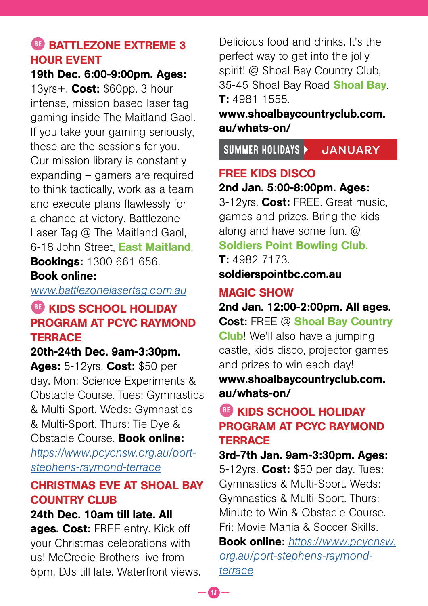### **BB** BATTLEZONE EXTREME 3 HOUR EVENT

19th Dec. 6:00-9:00pm. Ages:

13yrs+. **Cost:** \$60pp. 3 hour intense, mission based laser tag gaming inside The Maitland Gaol. If you take your gaming seriously, these are the sessions for you. Our mission library is constantly expanding – gamers are required to think tactically, work as a team and execute plans flawlessly for a chance at victory. Battlezone Laser Tag @ The Maitland Gaol. 6-18 John Street, East Maitland. Bookings: 1300 661 656.

#### Book online:

*[www.battlezonelasertag.com.au](https://www.battlezonelasertag.com.au/)*

### **BE KIDS SCHOOL HOLIDAY** PROGRAM AT PCYC RAYMOND **TERRACE**

20th-24th Dec. 9am-3:30pm.

Ages: 5-12yrs. Cost: \$50 per day. Mon: Science Experiments & Obstacle Course. Tues: Gymnastics & Multi-Sport. Weds: Gymnastics & Multi-Sport. Thurs: Tie Dye & Obstacle Course. Book online:

*[https://www.pcycnsw.org.au/port](https://www.pcycnsw.org.au/port-stephens-raymond-terrace)[stephens-raymond-terrace](https://www.pcycnsw.org.au/port-stephens-raymond-terrace)*

### CHRISTMAS EVE AT SHOAL BAY COUNTRY CLUB

### 24th Dec. 10am till late. All

ages. Cost: FREE entry. Kick off your Christmas celebrations with us! McCredie Brothers live from 5pm. DJs till late. Waterfront views.

Delicious food and drinks. It's the perfect way to get into the jolly spirit! @ Shoal Bay Country Club, 35-45 Shoal Bay Road Shoal Bay. T: 4981 1555.

www.shoalbaycountryclub.com. au/whats-on/

SUMMER HOLIDAYS **JANUARY** 

### FREE KIDS DISCO

### 2nd Jan. 5:00-8:00pm. Ages:

3-12yrs. Cost: FREE. Great music. games and prizes. Bring the kids along and have some fun. @ Soldiers Point Bowling Club.

T: 4982 7173. soldierspointbc.com.au

### MAGIC SHOW

2nd Jan. 12:00-2:00pm. All ages. Cost: FREE @ Shoal Bay Country Club! We'll also have a jumping castle, kids disco, projector games and prizes to win each day! www.shoalbaycountryclub.com.

au/whats-on/

### BE KIDS SCHOOL HOLIDAY PROGRAM AT PCYC RAYMOND **TERRACE**

3rd-7th Jan. 9am-3:30pm. Ages: 5-12yrs. Cost: \$50 per day. Tues: Gymnastics & Multi-Sport. Weds: Gymnastics & Multi-Sport. Thurs: Minute to Win & Obstacle Course. Fri: Movie Mania & Soccer Skills.

Book online: *[https://www.pcycnsw.](https://www.pcycnsw.org.au/port-stephens-raymond-terrace ) [org.au/port-stephens-raymond](https://www.pcycnsw.org.au/port-stephens-raymond-terrace )[terrace](https://www.pcycnsw.org.au/port-stephens-raymond-terrace )*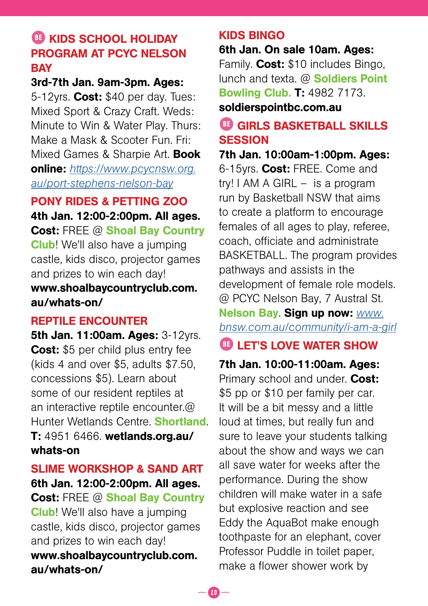### BE KIDS SCHOOL HOLIDAY PROGRAM AT PCYC NELSON **BAY**

#### 3rd-7th Jan. 9am-3pm. Ages:

5-12yrs. Cost: \$40 per day. Tues: Mixed Sport & Crazy Craft. Weds: Minute to Win & Water Play. Thurs: Make a Mask & Scooter Fun. Fri: Mixed Games & Sharpie Art. **Book** online: *[https://www.pcycnsw.org.](https://www.pcycnsw.org.au/port-stephens-nelson-bay) [au/port-stephens-nelson-bay](https://www.pcycnsw.org.au/port-stephens-nelson-bay)*

### PONY RIDES & PETTING ZOO

4th Jan. 12:00-2:00pm. All ages. Cost: FREE @ Shoal Bay Country Club! We'll also have a jumping castle, kids disco, projector games and prizes to win each day! www.shoalbaycountryclub.com. au/whats-on/

### REPTILE ENCOUNTER

**5th Jan. 11:00am. Ages: 3-12 yrs.** Cost: \$5 per child plus entry fee (kids 4 and over \$5, adults \$7.50, concessions \$5). Learn about some of our resident reptiles at an interactive reptile encounter.@ Hunter Wetlands Centre. Shortland. T: 4951 6466. wetlands.org.au/ whats-on

### SLIME WORKSHOP & SAND ART 6th Jan. 12:00-2:00pm. All ages. Cost: FREE @ Shoal Bay Country Club! We'll also have a jumping castle, kids disco, projector games

and prizes to win each day! www.shoalbaycountryclub.com. au/whats-on/

### KIDS BINGO

6th Jan. On sale 10am. Ages: Family. Cost: \$10 includes Bingo, lunch and texta. @ Soldiers Point Bowling Club. T: 4982 7173. soldierspointbc.com.au

### **BE GIRLS BASKETBALL SKILLS SESSION**

7th Jan. 10:00am-1:00pm. Ages: 6-15yrs. Cost: FREE. Come and try! I AM A GIRL – is a program run by Basketball NSW that aims to create a platform to encourage females of all ages to play, referee, coach, officiate and administrate BASKETBALL. The program provides pathways and assists in the development of female role models. @ PCYC Nelson Bay, 7 Austral St.

### Nelson Bay. Sign up now: *[www.](http://www.bnsw.com.au/community/i-am-a-girl/) [bnsw.com.au/community/i-am-a-girl](http://www.bnsw.com.au/community/i-am-a-girl/)*

### **BE LET'S LOVE WATER SHOW**

7th Jan. 10:00-11:00am. Ages: Primary school and under. Cost: \$5 pp or \$10 per family per car. It will be a bit messy and a little loud at times, but really fun and sure to leave your students talking about the show and ways we can all save water for weeks after the performance. During the show children will make water in a safe but explosive reaction and see Eddy the AquaBot make enough toothpaste for an elephant, cover Professor Puddle in toilet paper, make a flower shower work by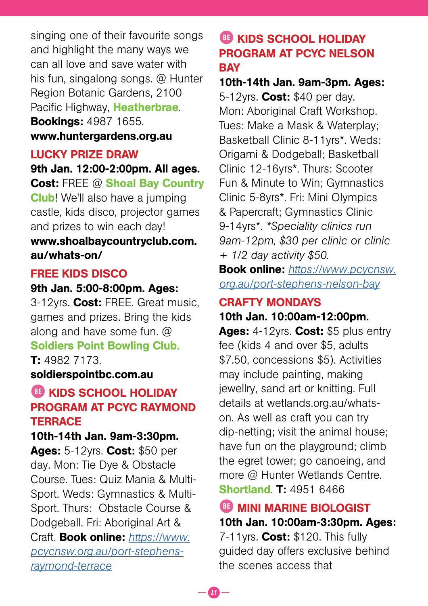singing one of their favourite songs and highlight the many ways we can all love and save water with his fun, singalong songs. @ Hunter Region Botanic Gardens, 2100 Pacific Highway, Heatherbrae. **Bookings: 4987 1655.** www.huntergardens.org.au

#### LUCKY PRIZE DRAW

9th Jan. 12:00-2:00pm. All ages. Cost: FREE @ Shoal Bay Country Club! We'll also have a jumping castle, kids disco, projector games and prizes to win each day! www.shoalbaycountryclub.com. au/whats-on/

#### FREE KIDS DISCO

#### 9th Jan. 5:00-8:00pm. Ages:

3-12yrs. Cost: FREE. Great music. games and prizes. Bring the kids along and have some fun. @ Soldiers Point Bowling Club. T: 4982 7173.

soldierspointbc.com.au

### BE KIDS SCHOOL HOLIDAY PROGRAM AT PCYC RAYMOND **TERRACE**

#### 10th-14th Jan. 9am-3:30pm.

Ages: 5-12yrs. Cost: \$50 per day. Mon: Tie Dye & Obstacle Course. Tues: Quiz Mania & Multi-Sport. Weds: Gymnastics & Multi-Sport. Thurs: Obstacle Course & Dodgeball. Fri: Aboriginal Art & Craft. Book online: *[https://www.](https://www.pcycnsw.org.au/port-stephens-raymond-terrace ) [pcycnsw.org.au/port-stephens](https://www.pcycnsw.org.au/port-stephens-raymond-terrace )[raymond-terrace](https://www.pcycnsw.org.au/port-stephens-raymond-terrace )*

### **BE KIDS SCHOOL HOLIDAY** PROGRAM AT PCYC NELSON **BAY**

10th-14th Jan. 9am-3pm. Ages: 5-12yrs. Cost: \$40 per day. Mon: Aboriginal Craft Workshop. Tues: Make a Mask & Waterplay; Basketball Clinic 8-11yrs\*. Weds: Origami & Dodgeball; Basketball Clinic 12-16yrs\*. Thurs: Scooter Fun & Minute to Win; Gymnastics Clinic 5-8yrs\*. Fri: Mini Olympics & Papercraft; Gymnastics Clinic 9-14yrs\*. *\*Speciality clinics run 9am-12pm, \$30 per clinic or clinic + 1/2 day activity \$50.*

Book online: *[https://www.pcycnsw.](https://www.pcycnsw.org.au/port-stephens-nelson-bay) [org.au/port-stephens-nelson-bay](https://www.pcycnsw.org.au/port-stephens-nelson-bay)*

## CRAFTY MONDAYS

#### 10th Jan. 10:00am-12:00pm.

Ages: 4-12yrs. Cost: \$5 plus entry fee (kids 4 and over \$5, adults \$7.50, concessions \$5). Activities may include painting, making jewellry, sand art or knitting. Full details at wetlands.org.au/whatson. As well as craft you can try dip-netting; visit the animal house; have fun on the playground; climb the egret tower; go canoeing, and more @ Hunter Wetlands Centre. Shortland. T: 4951 6466

#### **BE MINI MARINE BIOLOGIST**

10th Jan. 10:00am-3:30pm. Ages:  $7-11$ yrs. Cost: \$120. This fully guided day offers exclusive behind the scenes access that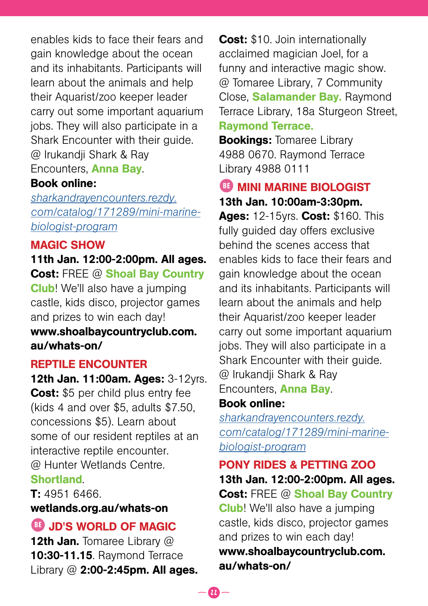enables kids to face their fears and gain knowledge about the ocean and its inhabitants. Participants will learn about the animals and help their Aquarist/zoo keeper leader carry out some important aquarium jobs. They will also participate in a Shark Encounter with their guide. @ Irukandji Shark & Ray Encounters, Anna Bay.

#### Book online:

*[sharkandrayencounters.rezdy.](https://sharkandrayencounters.rezdy.com/catalog/171289/mini-marine-biologist-program) [com/catalog/171289/mini-marine](https://sharkandrayencounters.rezdy.com/catalog/171289/mini-marine-biologist-program)[biologist-program](https://sharkandrayencounters.rezdy.com/catalog/171289/mini-marine-biologist-program)*

#### MAGIC SHOW

#### 11th Jan. 12:00-2:00pm. All ages.

Cost: FREE @ Shoal Bay Country Club! We'll also have a jumping castle, kids disco, projector games and prizes to win each day! www.shoalbaycountryclub.com. au/whats-on/

#### REPTILE ENCOUNTER

12th Jan. 11:00am. Ages: 3-12yrs. Cost: \$5 per child plus entry fee (kids 4 and over \$5, adults \$7.50, concessions \$5). Learn about some of our resident reptiles at an interactive reptile encounter. @ Hunter Wetlands Centre. **Shortland** 

#### T: 4951 6466.

#### wetlands.org.au/whats-on

### BE JD'S WORLD OF MAGIC

12th Jan. Tomaree Library @ 10:30-11.15. Raymond Terrace Library @ 2:00-2:45pm. All ages.

**Cost:** \$10. Join internationally acclaimed magician Joel, for a funny and interactive magic show. @ Tomaree Library, 7 Community Close, Salamander Bay. Raymond Terrace Library, 18a Sturgeon Street, Raymond Terrace.

**Bookings: Tomaree Library** 4988 0670. Raymond Terrace Library 4988 0111

**BE MINI MARINE BIOLOGIST** 13th Jan. 10:00am-3:30pm.

Ages: 12-15yrs. Cost: \$160. This fully guided day offers exclusive behind the scenes access that enables kids to face their fears and gain knowledge about the ocean and its inhabitants. Participants will learn about the animals and help their Aquarist/zoo keeper leader carry out some important aquarium jobs. They will also participate in a Shark Encounter with their guide. @ Irukandji Shark & Ray Encounters, Anna Bay.

#### Book online:

*[sharkandrayencounters.rezdy.](https://sharkandrayencounters.rezdy.com/catalog/171289/mini-marine-biologist-program) [com/catalog/171289/mini-marine](https://sharkandrayencounters.rezdy.com/catalog/171289/mini-marine-biologist-program)[biologist-program](https://sharkandrayencounters.rezdy.com/catalog/171289/mini-marine-biologist-program)*

### PONY RIDES & PETTING ZOO 13th Jan. 12:00-2:00pm. All ages.

Cost: FREE @ Shoal Bay Country Club! We'll also have a jumping castle, kids disco, projector games and prizes to win each day! www.shoalbaycountryclub.com. au/whats-on/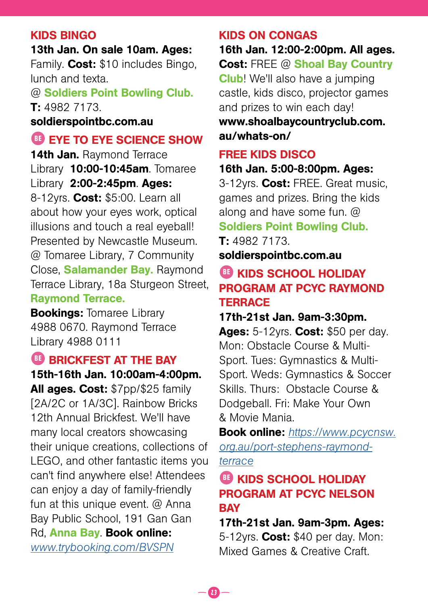#### KIDS BINGO

13th Jan. On sale 10am. Ages: Family. Cost: \$10 includes Bingo, lunch and texta.

@ Soldiers Point Bowling Club. T: 4982 7173.

#### soldierspointbc.com.au

### BE EYE TO EYE SCIENCE SHOW

14th Jan. Raymond Terrace Library 10:00-10:45am. Tomaree Library 2:00-2:45pm. Ages: 8-12yrs. Cost: \$5:00. Learn all about how your eyes work, optical illusions and touch a real eyeball! Presented by Newcastle Museum. @ Tomaree Library, 7 Community Close, Salamander Bay. Raymond Terrace Library, 18a Sturgeon Street, Raymond Terrace.

**Bookings: Tomaree Library** 4988 0670. Raymond Terrace Library 4988 0111

#### **BB BRICKFEST AT THE BAY**

15th-16th Jan. 10:00am-4:00pm. All ages. Cost: \$7pp/\$25 family [2A/2C or 1A/3C]. Rainbow Bricks 12th Annual Brickfest. We'll have many local creators showcasing their unique creations, collections of LEGO, and other fantastic items you can't find anywhere else! Attendees can enjoy a day of family-friendly fun at this unique event. @ Anna Bay Public School, 191 Gan Gan Rd, Anna Bay. Book online: *[www.trybooking.com/BVSPN](https://www.trybooking.com/events/landing?eid=838643&)*

#### KIDS ON CONGAS

16th Jan. 12:00-2:00pm. All ages. Cost: FREE @ Shoal Bay Country

Club! We'll also have a jumping castle, kids disco, projector games and prizes to win each day!

www.shoalbaycountryclub.com. au/whats-on/

#### FREE KIDS DISCO

16th Jan. 5:00-8:00pm. Ages:

3-12yrs. Cost: FREE. Great music, games and prizes. Bring the kids along and have some fun. @ Soldiers Point Bowling Club.

T: 4982 7173. soldierspointbc.com.au

### BE KIDS SCHOOL HOLIDAY PROGRAM AT PCYC RAYMOND **TERRACE**

#### 17th-21st Jan. 9am-3:30pm.

Ages: 5-12yrs. Cost: \$50 per day. Mon: Obstacle Course & Multi-Sport. Tues: Gymnastics & Multi-Sport. Weds: Gymnastics & Soccer Skills. Thurs: Obstacle Course & Dodgeball. Fri: Make Your Own & Movie Mania.

Book online: *[https://www.pcycnsw.](https://www.pcycnsw.org.au/port-stephens-raymond-terrace ) [org.au/port-stephens-raymond](https://www.pcycnsw.org.au/port-stephens-raymond-terrace )[terrace](https://www.pcycnsw.org.au/port-stephens-raymond-terrace )*

### BE KIDS SCHOOL HOLIDAY PROGRAM AT PCYC NELSON **BAY**

17th-21st Jan. 9am-3pm. Ages: 5-12yrs. Cost: \$40 per day. Mon: Mixed Games & Creative Craft.

 $-23 -$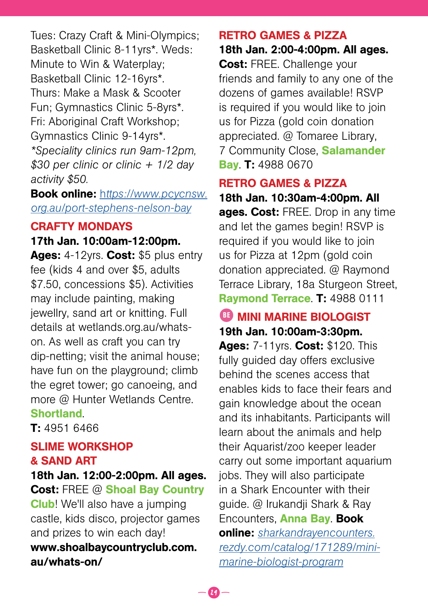Tues: Crazy Craft & Mini-Olympics; Basketball Clinic 8-11yrs\*. Weds: Minute to Win & Waterplay; Basketball Clinic 12-16yrs\*. Thurs: Make a Mask & Scooter Fun; Gymnastics Clinic 5-8yrs\*. Fri: Aboriginal Craft Workshop; Gymnastics Clinic 9-14yrs\*. *\*Speciality clinics run 9am-12pm, \$30 per clinic or clinic + 1/2 day activity \$50.*

Book online: h*[ttps://www.pcycnsw.](https://www.pcycnsw.org.au/port-stephens-nelson-bay) [org.au/port-stephens-nelson-bay](https://www.pcycnsw.org.au/port-stephens-nelson-bay)*

#### CRAFTY MONDAYS 17th Jan. 10:00am-12:00pm.

Ages: 4-12yrs. Cost: \$5 plus entry fee (kids 4 and over \$5, adults \$7.50, concessions \$5). Activities may include painting, making jewellry, sand art or knitting. Full details at wetlands.org.au/whatson. As well as craft you can try dip-netting; visit the animal house; have fun on the playground; climb the egret tower; go canoeing, and more @ Hunter Wetlands Centre. Shortland.

T: 4951 6466

### SLIME WORKSHOP & SAND ART

18th Jan. 12:00-2:00pm. All ages. Cost: FREE @ Shoal Bay Country Club! We'll also have a jumping castle, kids disco, projector games and prizes to win each day! www.shoalbaycountryclub.com. au/whats-on/

### RETRO GAMES & PIZZA

18th Jan. 2:00-4:00pm. All ages. Cost: FREE. Challenge your friends and family to any one of the dozens of games available! RSVP is required if you would like to join us for Pizza (gold coin donation appreciated. @ Tomaree Library, 7 Community Close, Salamander **Bay. T: 4988 0670** 

### RETRO GAMES & PIZZA

18th Jan. 10:30am-4:00pm. All ages. Cost: FREE. Drop in any time and let the games begin! RSVP is required if you would like to join us for Pizza at 12pm (gold coin donation appreciated. @ Raymond Terrace Library, 18a Sturgeon Street, Raymond Terrace. T: 4988 0111

### **BE MINI MARINE BIOLOGIST** 19th Jan. 10:00am-3:30pm.

Ages: 7-11yrs. Cost: \$120. This fully guided day offers exclusive behind the scenes access that enables kids to face their fears and gain knowledge about the ocean and its inhabitants. Participants will learn about the animals and help their Aquarist/zoo keeper leader carry out some important aquarium jobs. They will also participate in a Shark Encounter with their guide. @ Irukandji Shark & Ray Encounters, **Anna Bay. Book** online: *[sharkandrayencounters.](https://sharkandrayencounters.rezdy.com/catalog/171289/mini-marine-biologist-program) [rezdy.com/catalog/171289/mini](https://sharkandrayencounters.rezdy.com/catalog/171289/mini-marine-biologist-program)[marine-biologist-program](https://sharkandrayencounters.rezdy.com/catalog/171289/mini-marine-biologist-program)*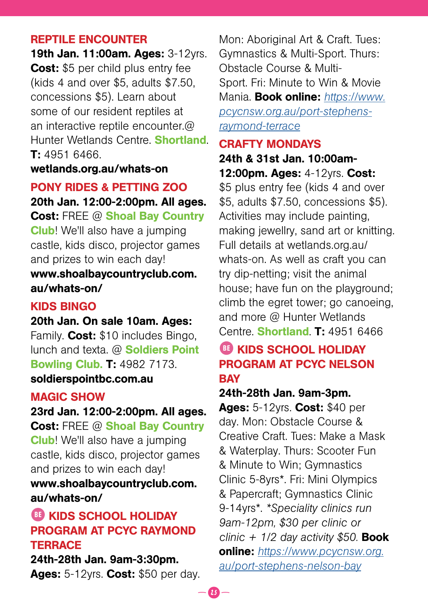#### REPTILE ENCOUNTER

19th Jan. 11:00am. Ages: 3-12yrs. Cost: \$5 per child plus entry fee (kids 4 and over \$5, adults \$7.50, concessions \$5). Learn about some of our resident reptiles at an interactive reptile encounter.@ Hunter Wetlands Centre. Shortland. T: 4951 6466.

#### wetlands.org.au/whats-on

#### PONY RIDES & PETTING ZOO 20th Jan. 12:00-2:00pm. All ages.

Cost: FREE @ Shoal Bay Country

Club! We'll also have a jumping castle, kids disco, projector games and prizes to win each day!

www.shoalbaycountryclub.com. au/whats-on/

#### KIDS BINGO

#### 20th Jan. On sale 10am. Ages:

Family. Cost: \$10 includes Bingo, lunch and texta. @ **Soldiers Point** Bowling Club. T: 4982 7173. soldierspointbc.com.au

#### MAGIC SHOW

23rd Jan. 12:00-2:00pm. All ages. Cost: FREE @ Shoal Bay Country Club! We'll also have a jumping castle, kids disco, projector games and prizes to win each day! www.shoalbaycountryclub.com. au/whats-on/

### BE KIDS SCHOOL HOLIDAY PROGRAM AT PCYC RAYMOND **TERRACE**

24th-28th Jan. 9am-3:30pm. Ages: 5-12yrs. Cost: \$50 per day.

Mon: Aboriginal Art & Craft. Tues: Gymnastics & Multi-Sport. Thurs: Obstacle Course & Multi-Sport. Fri: Minute to Win & Movie Mania. Book online: *[https://www.](https://www.pcycnsw.org.au/port-stephens-raymond-terrace ) [pcycnsw.org.au/port-stephens](https://www.pcycnsw.org.au/port-stephens-raymond-terrace )[raymond-terrace](https://www.pcycnsw.org.au/port-stephens-raymond-terrace )*

#### CRAFTY MONDAYS

24th & 31st Jan. 10:00am-12:00pm. Ages: 4-12yrs. Cost:

\$5 plus entry fee (kids 4 and over \$5, adults \$7.50, concessions \$5). Activities may include painting, making jewellry, sand art or knitting. Full details at wetlands.org.au/ whats-on. As well as craft you can try dip-netting; visit the animal house; have fun on the playground; climb the egret tower; go canoeing, and more @ Hunter Wetlands Centre. **Shortland. T:** 4951 6466

### BE KIDS SCHOOL HOLIDAY PROGRAM AT PCYC NELSON **BAY**

#### 24th-28th Jan. 9am-3pm.

Ages: 5-12yrs. Cost: \$40 per day. Mon: Obstacle Course & Creative Craft. Tues: Make a Mask & Waterplay. Thurs: Scooter Fun & Minute to Win; Gymnastics Clinic 5-8yrs\*. Fri: Mini Olympics & Papercraft; Gymnastics Clinic 9-14yrs\*. *\*Speciality clinics run 9am-12pm, \$30 per clinic or clinic + 1/2 day activity \$50.* Book online: *[https://www.pcycnsw.org.](https://www.pcycnsw.org.au/port-stephens-nelson-bay) [au/port-stephens-nelson-bay](https://www.pcycnsw.org.au/port-stephens-nelson-bay)*

 $\boldsymbol{u}$   $-$